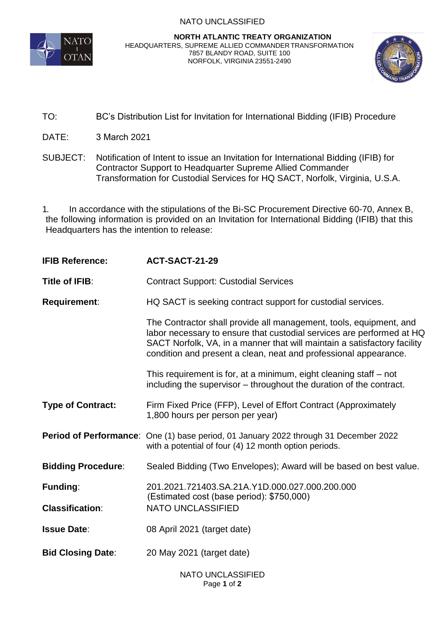## NATO UNCLASSIFIED



## **NORTH ATLANTIC TREATY ORGANIZATION** HEADQUARTERS, SUPREME ALLIED COMMANDER TRANSFORMATION 7857 BLANDY ROAD, SUITE 100 NORFOLK, VIRGINIA 23551-2490



- TO: BC's Distribution List for Invitation for International Bidding (IFIB) Procedure
- DATE: 3 March 2021
- SUBJECT: Notification of Intent to issue an Invitation for International Bidding (IFIB) for Contractor Support to Headquarter Supreme Allied Commander Transformation for Custodial Services for HQ SACT, Norfolk, Virginia, U.S.A.

1. In accordance with the stipulations of the Bi-SC Procurement Directive 60-70, Annex B, the following information is provided on an Invitation for International Bidding (IFIB) that this Headquarters has the intention to release:

| <b>IFIB Reference:</b>    | ACT-SACT-21-29                                                                                                                                                                                                                                                                              |
|---------------------------|---------------------------------------------------------------------------------------------------------------------------------------------------------------------------------------------------------------------------------------------------------------------------------------------|
| Title of IFIB:            | <b>Contract Support: Custodial Services</b>                                                                                                                                                                                                                                                 |
| <b>Requirement:</b>       | HQ SACT is seeking contract support for custodial services.                                                                                                                                                                                                                                 |
|                           | The Contractor shall provide all management, tools, equipment, and<br>labor necessary to ensure that custodial services are performed at HQ<br>SACT Norfolk, VA, in a manner that will maintain a satisfactory facility<br>condition and present a clean, neat and professional appearance. |
|                           | This requirement is for, at a minimum, eight cleaning staff – not<br>including the supervisor – throughout the duration of the contract.                                                                                                                                                    |
| <b>Type of Contract:</b>  | Firm Fixed Price (FFP), Level of Effort Contract (Approximately<br>1,800 hours per person per year)                                                                                                                                                                                         |
|                           | Period of Performance: One (1) base period, 01 January 2022 through 31 December 2022<br>with a potential of four (4) 12 month option periods.                                                                                                                                               |
| <b>Bidding Procedure:</b> | Sealed Bidding (Two Envelopes); Award will be based on best value.                                                                                                                                                                                                                          |
| <b>Funding:</b>           | 201.2021.721403.SA.21A.Y1D.000.027.000.200.000<br>(Estimated cost (base period): \$750,000)<br><b>NATO UNCLASSIFIED</b>                                                                                                                                                                     |
| <b>Classification:</b>    |                                                                                                                                                                                                                                                                                             |
| <b>Issue Date:</b>        | 08 April 2021 (target date)                                                                                                                                                                                                                                                                 |
| <b>Bid Closing Date:</b>  | 20 May 2021 (target date)                                                                                                                                                                                                                                                                   |
|                           | <b>NATO UNCLASSIFIED</b>                                                                                                                                                                                                                                                                    |